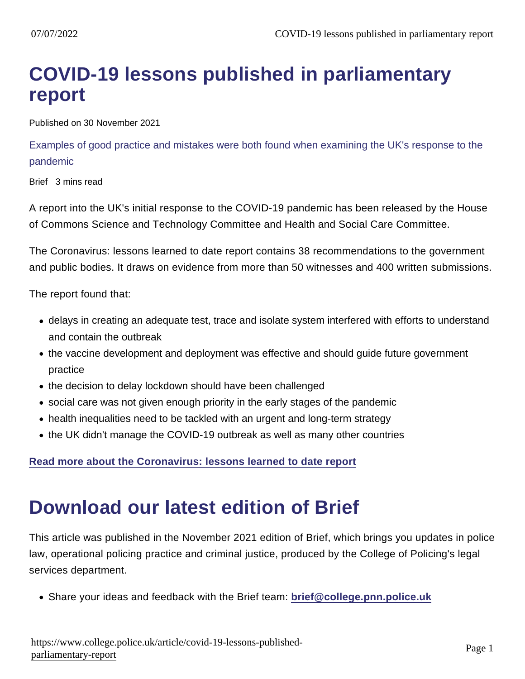## COVID-19 lessons published in parliamentary report

Published on 30 November 2021

Examples of good practice and mistakes were both found when examining the UK's response to the pandemic

Brief 3 mins read

A report into the UK's initial response to the COVID-19 pandemic has been released by the House of Commons Science and Technology Committee and Health and Social Care Committee.

The Coronavirus: lessons learned to date report contains 38 recommendations to the government and public bodies. It draws on evidence from more than 50 witnesses and 400 written submissions.

The report found that:

- delays in creating an adequate test, trace and isolate system interfered with efforts to understand and contain the outbreak
- the vaccine development and deployment was effective and should guide future government practice
- the decision to delay lockdown should have been challenged
- social care was not given enough priority in the early stages of the pandemic
- health inequalities need to be tackled with an urgent and long-term strategy
- the UK didn't manage the COVID-19 outbreak as well as many other countries

[Read more about the Coronavirus: lessons learned to date report](https://committees.parliament.uk/committee/81/health-and-social-care-committee/news/157991/coronavirus-lessons-learned-to-date-report-published/)

## Download our latest edition of Brief

This article was published in the November 2021 edition of Brief, which brings you updates in police law, operational policing practice and criminal justice, produced by the College of Policing's legal services department.

Share your ideas and feedback with the Brief team: [brief@college.pnn.police.uk](mailto:brief@college.pnn.police.uk)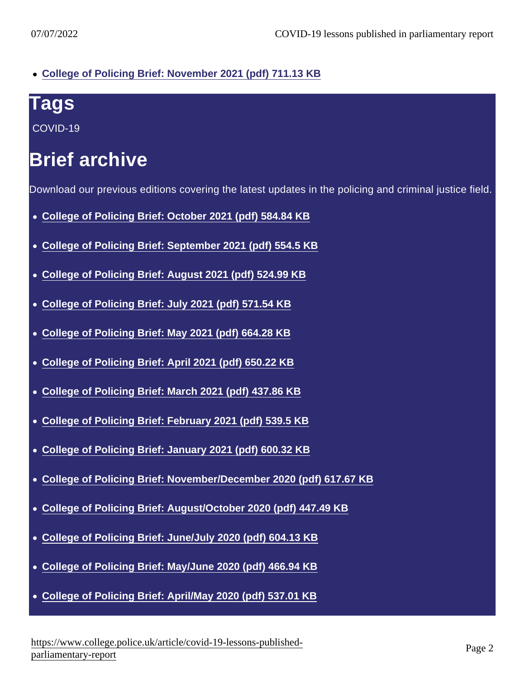[College of Policing Brief: November 2021 \(pdf\) 711.13 KB](https://assets.college.police.uk/s3fs-public/2021-11/College-of-Policing-Brief-November-2021.pdf)

## Tags

[COVID-19](https://www.college.police.uk/tags/covid-19)

## Brief archive

Download our previous editions covering the latest updates in the policing and criminal justice field.

- [College of Policing Brief: October 2021 \(pdf\) 584.84 KB](https://assets.college.police.uk/s3fs-public/2021-10/College-of-Policing-Brief-October-2021.pdf)
- [College of Policing Brief: September 2021 \(pdf\) 554.5 KB](https://assets.college.police.uk/s3fs-public/2021-09/college-of-policing-brief-september-2021.pdf)
- [College of Policing Brief: August 2021 \(pdf\) 524.99 KB](https://assets.college.police.uk/s3fs-public/2021-08/college-of-policing-brief-august-2021.pdf)
- [College of Policing Brief: July 2021 \(pdf\) 571.54 KB](https://assets.college.police.uk/s3fs-public/2021-07/college-of-policing-brief-july-2021.pdf)
- [College of Policing Brief: May 2021 \(pdf\) 664.28 KB](https://assets.college.police.uk/s3fs-public/2021-05/college-of-policing-brief-may-2021.pdf)
- [College of Policing Brief: April 2021 \(pdf\) 650.22 KB](https://assets.college.police.uk/s3fs-public/2021-04/college-of-policing-brief-april-2021.pdf)
- [College of Policing Brief: March 2021 \(pdf\) 437.86 KB](https://assets.college.police.uk/s3fs-public/2021-03/college-of-policing-brief-march-2021.pdf)
- [College of Policing Brief: February 2021 \(pdf\) 539.5 KB](https://assets.college.police.uk/s3fs-public/2021-02/college-of-policing-brief-february-2021.pdf)
- [College of Policing Brief: January 2021 \(pdf\) 600.32 KB](https://assets.college.police.uk/s3fs-public/2021-01/College-of-Policing-Brief-January-2021.pdf)
- [College of Policing Brief: November/December 2020 \(pdf\) 617.67 KB](https://assets.college.police.uk/s3fs-public/2021-01/college-of-policing-brief-nov-december-2020.pdf)
- [College of Policing Brief: August/October 2020 \(pdf\) 447.49 KB](https://assets.college.police.uk/s3fs-public/2021-01/college-of-policing-brief-august-october-2020.pdf)
- [College of Policing Brief: June/July 2020 \(pdf\) 604.13 KB](https://assets.college.police.uk/s3fs-public/2021-01/college-of-policing-brief-june-july-2020.pdf)
- [College of Policing Brief: May/June 2020 \(pdf\) 466.94 KB](https://assets.college.police.uk/s3fs-public/2021-01/college-of-policing-brief-may-june-2020.pdf)
- [College of Policing Brief: April/May 2020 \(pdf\) 537.01 KB](https://assets.college.police.uk/s3fs-public/2021-01/College-of-Policing-Brief-April-May-2020.pdf)